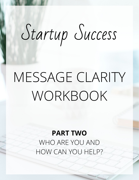# Startup Success

## MESSAGE CLARITY WORKBOOK

**PART TWO** WHO ARE YOU AND HOW CAN YOU HELP?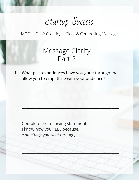## Startup Success

MODULE 1 // Creating a Clear & Compelling Message

### Message Clarity Part 2

1. What past experiences have you gone through that allow you to empathize with your audience?

\_\_\_\_\_\_\_\_\_\_\_\_\_\_\_\_\_\_\_\_\_\_\_\_\_\_\_\_\_\_\_\_\_\_\_\_\_\_\_\_\_\_\_\_\_\_\_\_\_\_\_\_\_

 $-$  . The set of the set of the set of the set of the set of the set of the set of the set of the set of the set of the set of the set of the set of the set of the set of the set of the set of the set of the set of the se

 $\frac{1}{2}$  ,  $\frac{1}{2}$  ,  $\frac{1}{2}$  ,  $\frac{1}{2}$  ,  $\frac{1}{2}$  ,  $\frac{1}{2}$  ,  $\frac{1}{2}$  ,  $\frac{1}{2}$  ,  $\frac{1}{2}$  ,  $\frac{1}{2}$  ,  $\frac{1}{2}$  ,  $\frac{1}{2}$  ,  $\frac{1}{2}$  ,  $\frac{1}{2}$  ,  $\frac{1}{2}$  ,  $\frac{1}{2}$  ,  $\frac{1}{2}$  ,  $\frac{1}{2}$  ,  $\frac{1$ 

 $\frac{1}{2} \left( \frac{1}{2} \left( \frac{1}{2} \right) \frac{1}{2} \left( \frac{1}{2} \right) \right) - \frac{1}{2} \left( \frac{1}{2} \left( \frac{1}{2} \right) \frac{1}{2} \right) - \frac{1}{2} \left( \frac{1}{2} \left( \frac{1}{2} \right) \frac{1}{2} \right) - \frac{1}{2} \left( \frac{1}{2} \left( \frac{1}{2} \right) \frac{1}{2} \right) - \frac{1}{2} \left( \frac{1}{2} \left( \frac{1}{2} \right) \frac{1}{2} \right) - \frac$ 

 $\frac{1}{2} \left( \frac{1}{2} \right)^2 \left( \frac{1}{2} \right)^2 \left( \frac{1}{2} \right)^2 \left( \frac{1}{2} \right)^2 \left( \frac{1}{2} \right)^2 \left( \frac{1}{2} \right)^2 \left( \frac{1}{2} \right)^2 \left( \frac{1}{2} \right)^2 \left( \frac{1}{2} \right)^2 \left( \frac{1}{2} \right)^2 \left( \frac{1}{2} \right)^2 \left( \frac{1}{2} \right)^2 \left( \frac{1}{2} \right)^2 \left( \frac{1}{2} \right)^2 \left( \frac{1}{2} \right)^2 \left($ 

 $\frac{1}{2} \sum_{i=1}^n \frac{1}{2} \sum_{i=1}^n \frac{1}{2} \sum_{i=1}^n \frac{1}{2} \sum_{i=1}^n \frac{1}{2} \sum_{i=1}^n \frac{1}{2} \sum_{i=1}^n \frac{1}{2} \sum_{i=1}^n \frac{1}{2} \sum_{i=1}^n \frac{1}{2} \sum_{i=1}^n \frac{1}{2} \sum_{i=1}^n \frac{1}{2} \sum_{i=1}^n \frac{1}{2} \sum_{i=1}^n \frac{1}{2} \sum_{i=1}^n \frac{1}{2} \sum_{i=$ 

 $\mathcal{L} \circ \mathcal{L} \circ \mathcal{L} \circ \mathcal{L} \circ \mathcal{L} \circ \mathcal{L} \circ \mathcal{L} \circ \mathcal{L} \circ \mathcal{L} \circ \mathcal{L} \circ \mathcal{L} \circ \mathcal{L} \circ \mathcal{L} \circ \mathcal{L} \circ \mathcal{L} \circ \mathcal{L} \circ \mathcal{L} \circ \mathcal{L} \circ \mathcal{L} \circ \mathcal{L} \circ \mathcal{L} \circ \mathcal{L} \circ \mathcal{L} \circ \mathcal{L} \circ \mathcal{L} \circ \mathcal{L} \circ \mathcal{L} \circ \mathcal{$ 

 $\frac{1}{2}$  ,  $\frac{1}{2}$  ,  $\frac{1}{2}$  ,  $\frac{1}{2}$  ,  $\frac{1}{2}$  ,  $\frac{1}{2}$  ,  $\frac{1}{2}$  ,  $\frac{1}{2}$  ,  $\frac{1}{2}$  ,  $\frac{1}{2}$  ,  $\frac{1}{2}$ 

 $\sim$  of a  $\sim$  of  $\sim$  of  $\sim$   $\sim$   $\sim$ 

2. Complete the following statements: I know how you FEEL because... *(something you went through)*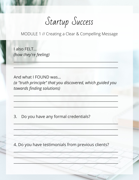Startup Success

MODULE 1 // Creating a Clear & Compelling Message

Lalso FELT... (how they're feeling)

And what I FOUND was... (a "truth principle" that you discovered, which guided you towards finding solutions)

Do you have any formal credentials?  $3.$ 

4. Do you have testimonials from previous clients?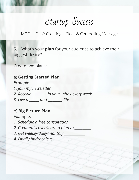Startup Success

MODULE 1 // Creating a Clear & Compelling Message

5. What's your **plan** for your audience to achieve their biggest desire?

Create two plans:

a) **Getting Started Plan** *Example: 1. Join my newsletter 2. Receive \_\_\_\_\_\_\_\_\_ in your inbox every week 3. Live a \_\_\_\_\_\_ and \_\_\_\_\_\_\_\_\_ life.*

#### b) **Big Picture Plan**

Example:

- *1. Schedule a free consultation*
- *2. Create/discover/learn a plan to \_\_\_\_\_\_\_\_\_\_*
- 3. Get weekly/daily/monthly
- *4. Finally find/achieve \_\_\_\_\_\_\_\_\_.*